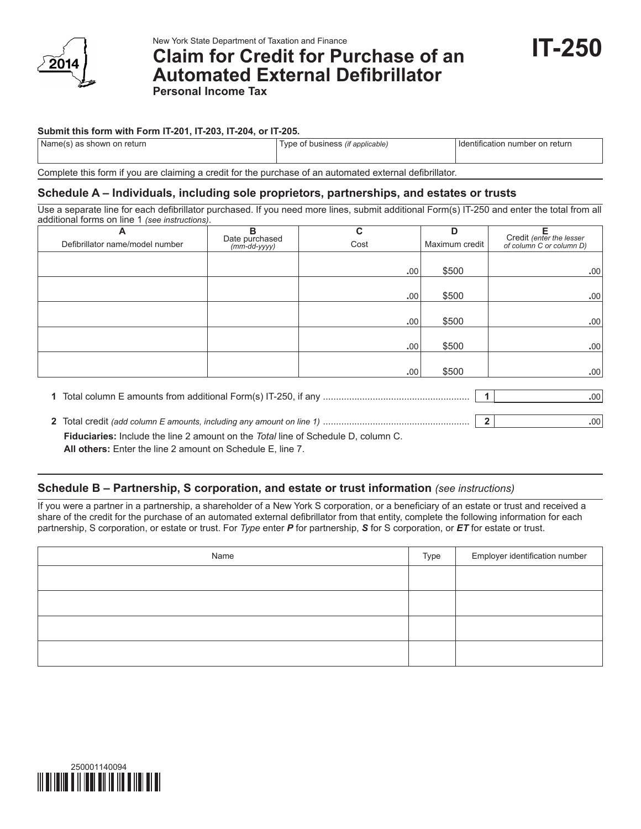

New York State Department of Taxation and Finance

# **Claim for Credit for Purchase of an Automated External Defibrillator Personal Income Tax**

**IT-250**

## **Submit this form with Form IT-201, IT-203, IT-204, or IT-205.**

| Name(s) as shown on return | f business <i>(if applicable)</i><br>l vne | n number on return<br>⊣ Identification |
|----------------------------|--------------------------------------------|----------------------------------------|
|                            |                                            |                                        |

Complete this form if you are claiming a credit for the purchase of an automated external defibrillator.

## **Schedule A – Individuals, including sole proprietors, partnerships, and estates or trusts**

Use a separate line for each defibrillator purchased. If you need more lines, submit additional Form(s) IT‑250 and enter the total from all additional forms on line 1 *(see instructions)*.

| А                               | в                              | C    | D              | Е                                                    |
|---------------------------------|--------------------------------|------|----------------|------------------------------------------------------|
| Defibrillator name/model number | Date purchased<br>(mm-dd-yyyy) | Cost | Maximum credit | Credit (enter the lesser<br>of column C or column D) |
|                                 |                                |      |                |                                                      |
|                                 |                                | .00. | \$500          | .00                                                  |
|                                 |                                |      |                |                                                      |
|                                 |                                | .00  | \$500          | .00                                                  |
|                                 |                                |      |                |                                                      |
|                                 |                                | .00  | \$500          | .00                                                  |
|                                 |                                |      |                |                                                      |
|                                 |                                | .00. | \$500          | .00                                                  |
|                                 |                                |      |                |                                                      |
|                                 |                                | .00. | \$500          | .00                                                  |
|                                 |                                |      |                |                                                      |
|                                 |                                |      |                | .00                                                  |

## **Schedule B – Partnership, S corporation, and estate or trust information** *(see instructions)*

If you were a partner in a partnership, a shareholder of a New York S corporation, or a beneficiary of an estate or trust and received a share of the credit for the purchase of an automated external defibrillator from that entity, complete the following information for each partnership, S corporation, or estate or trust. For *Type* enter *P* for partnership, *S* for S corporation, or *ET* for estate or trust.

| Name | Type | Employer identification number |
|------|------|--------------------------------|
|      |      |                                |
|      |      |                                |
|      |      |                                |
|      |      |                                |



**<sup>2</sup>** Total credit *(add column E amounts, including any amount on line 1)* ........................................................ **2 .**00 **Fiduciaries:** Include the line 2 amount on the *Total* line of Schedule D, column C. **All others:** Enter the line 2 amount on Schedule E, line 7.